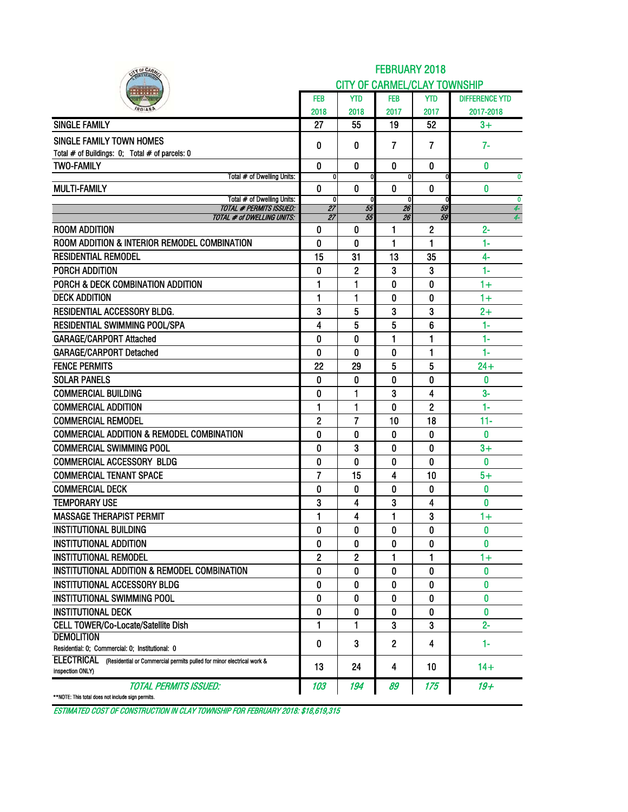| IY OF CARA                                                                       |                |                | <b>FEBRUARY 2018</b>                |              |                       |
|----------------------------------------------------------------------------------|----------------|----------------|-------------------------------------|--------------|-----------------------|
|                                                                                  |                |                | <b>CITY OF CARMEL/CLAY TOWNSHIP</b> |              |                       |
|                                                                                  | <b>FEB</b>     | YTD            | <b>FEB</b>                          | <b>YTD</b>   | <b>DIFFERENCE YTD</b> |
|                                                                                  | 2018           | 2018           | 2017                                | 2017         | 2017-2018             |
| <b>SINGLE FAMILY</b>                                                             | 27             | 55             | 19                                  | 52           | $3+$                  |
| SINGLE FAMILY TOWN HOMES                                                         |                | 0              |                                     |              | $7-$                  |
| Total # of Buildings: 0; Total # of parcels: 0                                   | 0              |                | 7                                   | 7            |                       |
| <b>TWO-FAMILY</b>                                                                | 0              | 0              | 0                                   | $\bf{0}$     | 0                     |
| Total # of Dwelling Units:                                                       | $\mathbf{0}$   |                | 0                                   | 0            | $\bf{0}$              |
| <b>MULTI-FAMILY</b>                                                              | 0              | 0              | $\boldsymbol{0}$                    | $\mathbf 0$  | 0<br>$\mathbf{0}$     |
| Total # of Dwelling Units:<br><b>TOTAL # PERMITS ISSUED:</b>                     | 0<br>27        | 55             | 0<br>26                             | 0<br>59      | 4                     |
| TOTAL # of DWELLING UNITS:                                                       | 27             | 55             | 26                                  | 59           | $\overline{4}$        |
| <b>ROOM ADDITION</b>                                                             | 0              | 0              | 1                                   | $\mathbf{2}$ | $2 -$                 |
| ROOM ADDITION & INTERIOR REMODEL COMBINATION                                     | 0              | 0              | 1                                   | 1            | 1-                    |
| <b>RESIDENTIAL REMODEL</b>                                                       | 15             | 31             | 13                                  | 35           | $4-$                  |
| PORCH ADDITION                                                                   | 0              | 2              | 3                                   | 3            | $1-$                  |
| PORCH & DECK COMBINATION ADDITION                                                | 1              | 1              | 0                                   | 0            | $1+$                  |
| <b>DECK ADDITION</b>                                                             | 1              | 1              | 0                                   | 0            | $1+$                  |
| <b>RESIDENTIAL ACCESSORY BLDG.</b>                                               | 3              | 5              | 3                                   | 3            | $2+$                  |
| <b>RESIDENTIAL SWIMMING POOL/SPA</b>                                             | 4              | 5              | 5                                   | 6            | $1-$                  |
| <b>GARAGE/CARPORT Attached</b>                                                   | 0              | 0              | 1                                   | 1            | $1 -$                 |
| <b>GARAGE/CARPORT Detached</b>                                                   | 0              | 0              | 0                                   | 1            | 1-                    |
| <b>FENCE PERMITS</b>                                                             | 22             | 29             | 5                                   | 5            | $24 +$                |
| <b>SOLAR PANELS</b>                                                              | 0              | 0              | 0                                   | 0            | 0                     |
| <b>COMMERCIAL BUILDING</b>                                                       | 0              | 1              | 3                                   | 4            | $3-$                  |
| <b>COMMERCIAL ADDITION</b>                                                       | 1              | 1              | 0                                   | 2            | 1-                    |
| <b>COMMERCIAL REMODEL</b>                                                        | $\overline{c}$ | $\overline{7}$ | 10                                  | 18           | $11 -$                |
| <b>COMMERCIAL ADDITION &amp; REMODEL COMBINATION</b>                             | 0              | 0              | 0                                   | 0            | 0                     |
| <b>COMMERCIAL SWIMMING POOL</b>                                                  | 0              | 3              | 0                                   | 0            | $3+$                  |
| <b>COMMERCIAL ACCESSORY BLDG</b>                                                 | 0              | 0              | 0                                   | 0            | O                     |
| <b>COMMERCIAL TENANT SPACE</b>                                                   | 7              | 15             | 4                                   | 10           | $5+$                  |
| <b>COMMERCIAL DECK</b>                                                           | 0              | 0              | 0                                   | 0            | 0                     |
| <b>TEMPORARY USE</b>                                                             | 3              | 4              | 3                                   | 4            | 0                     |
| <b>MASSAGE THERAPIST PERMIT</b>                                                  | 1              | 4              | 1                                   | 3            | $1+$                  |
| <b>INSTITUTIONAL BUILDING</b>                                                    | 0              | 0              | 0                                   | 0            | 0                     |
| <b>INSTITUTIONAL ADDITION</b>                                                    | 0              | 0              | 0                                   | 0            | $\bf{0}$              |
| <b>INSTITUTIONAL REMODEL</b>                                                     | 2              | 2              | 1                                   | 1            | $1+$                  |
| INSTITUTIONAL ADDITION & REMODEL COMBINATION                                     | 0              | 0              | 0                                   | 0            | $\mathbf{0}$          |
| <b>INSTITUTIONAL ACCESSORY BLDG</b>                                              | 0              | 0              | 0                                   | 0            | 0                     |
| <b>INSTITUTIONAL SWIMMING POOL</b>                                               | 0              | 0              | 0                                   | 0            | 0                     |
| <b>INSTITUTIONAL DECK</b>                                                        | 0              | 0              | 0                                   | 0            | 0                     |
| CELL TOWER/Co-Locate/Satellite Dish                                              | 1              | 1              | 3                                   | 3            | $2 -$                 |
| <b>DEMOLITION</b>                                                                |                |                |                                     |              |                       |
| Residential: 0; Commercial: 0; Institutional: 0                                  | 0              | 3              | 2                                   | 4            | 1-                    |
| ELECTRICAL (Residential or Commercial permits pulled for minor electrical work & | 13             | 24             | 4                                   | 10           | $14+$                 |
| inspection ONLY)                                                                 |                |                |                                     |              |                       |
| TOTAL PERMITS ISSUED:<br>**NOTE: This total does not include sign permits.       | 103            | 194            | 89                                  | 175          | 19+                   |

ESTIMATED COST OF CONSTRUCTION IN CLAY TOWNSHIP FOR FEBRUARY 2018: \$18,619,315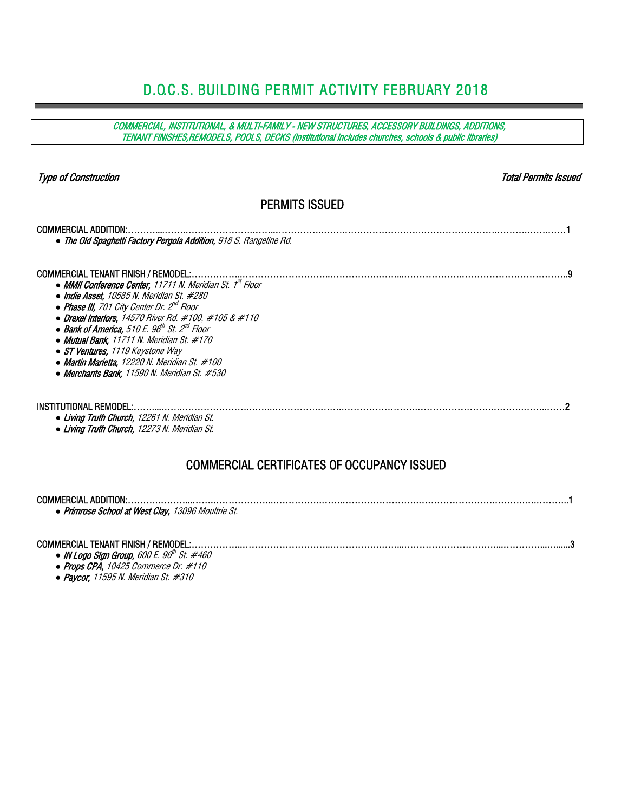## D.O.C.S. BUILDING PERMIT ACTIVITY FEBRUARY 2018

COMMERCIAL, INSTITUTIONAL, & MULTI-FAMILY - NEW STRUCTURES, ACCESSORY BUILDINGS, ADDITIONS, TENANT FINISHES,REMODELS, POOLS, DECKS (Institutional includes churches, schools & public libraries)

| <b>Type of Construction</b>                                                                                                                                                                                                                                                                                                                                                                                                                                                                                                                   | Total Permits Issued |
|-----------------------------------------------------------------------------------------------------------------------------------------------------------------------------------------------------------------------------------------------------------------------------------------------------------------------------------------------------------------------------------------------------------------------------------------------------------------------------------------------------------------------------------------------|----------------------|
| <b>PERMITS ISSUED</b>                                                                                                                                                                                                                                                                                                                                                                                                                                                                                                                         |                      |
| <b>COMMERCIAL ADDITION:.</b><br>• The Old Spaghetti Factory Pergola Addition, 918 S. Rangeline Rd.                                                                                                                                                                                                                                                                                                                                                                                                                                            |                      |
| <b>COMMERCIAL TENANT FINISH / REMODEL:</b><br>• MMII Conference Center, 11711 N. Meridian St. 1 <sup>st</sup> Floor<br>• Indie Asset, 10585 N. Meridian St. #280<br>• Phase III, 701 City Center Dr. 2 <sup>nd</sup> Floor<br>• Drexel Interiors, 14570 River Rd. #100, #105 & #110<br>• Bank of America, 510 E. $96^{\text{th}}$ St. $2^{\text{nd}}$ Floor<br>• Mutual Bank, 11711 N. Meridian St. #170<br>• ST Ventures, 1119 Keystone Way<br>• Martin Marietta, 12220 N. Meridian St. #100<br>• Merchants Bank, 11590 N. Meridian St. #530 |                      |
| <b>INSTITUTIONAL REMODEL:</b><br>• Living Truth Church, 12261 N. Meridian St.<br>• Living Truth Church, 12273 N. Meridian St.                                                                                                                                                                                                                                                                                                                                                                                                                 |                      |
| <b>COMMERCIAL CERTIFICATES OF OCCUPANCY ISSUED</b>                                                                                                                                                                                                                                                                                                                                                                                                                                                                                            |                      |
| <b>COMMERCIAL ADDITION:</b><br>• Primrose School at West Clay, 13096 Moultrie St.                                                                                                                                                                                                                                                                                                                                                                                                                                                             |                      |
| <b>COMMERCIAL TENANT FINISH / REMODEL:.</b><br>• IN Logo Sign Group, 600 E. 96 <sup>th</sup> St. #460                                                                                                                                                                                                                                                                                                                                                                                                                                         |                      |

 *●* Props CPA, 10425 Commerce Dr. #110 *●* Paycor, 11595 N. Meridian St. #310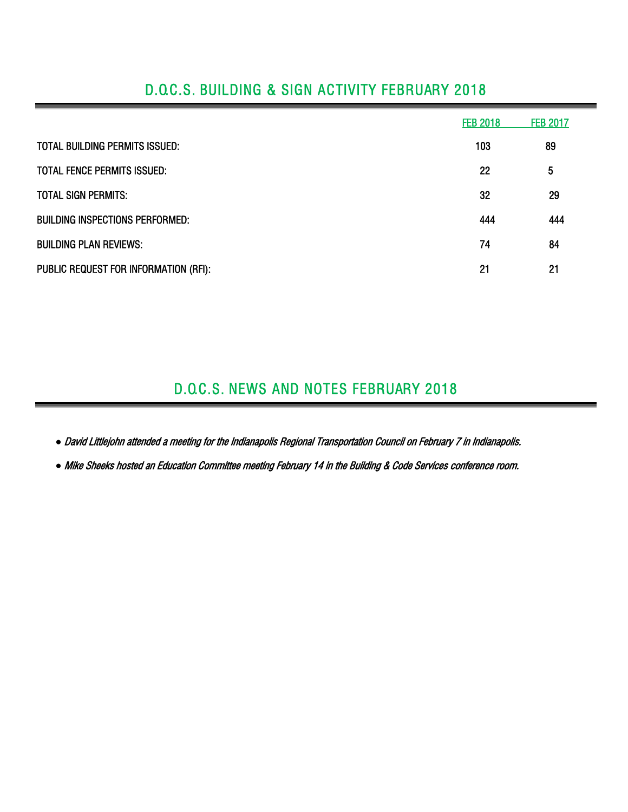|                                        | <b>FEB 2018</b> | <b>FEB 2017</b> |
|----------------------------------------|-----------------|-----------------|
| <b>TOTAL BUILDING PERMITS ISSUED:</b>  | 103             | 89              |
| TOTAL FENCE PERMITS ISSUED:            | 22              | 5               |
| <b>TOTAL SIGN PERMITS:</b>             | 32              | 29              |
| <b>BUILDING INSPECTIONS PERFORMED:</b> | 444             | 444             |
| <b>BUILDING PLAN REVIEWS:</b>          | 74              | 84              |
| PUBLIC REQUEST FOR INFORMATION (RFI):  | 21              | 21              |

## D.O.C.S. BUILDING & SIGN ACTIVITY FEBRUARY 2018

## D.O.C.S. NEWS AND NOTES FEBRUARY 2018

*●* David Littlejohn attended a meeting for the Indianapolis Regional Transportation Council on February 7 in Indianapolis.

*●* Mike Sheeks hosted an Education Committee meeting February 14 in the Building & Code Services conference room.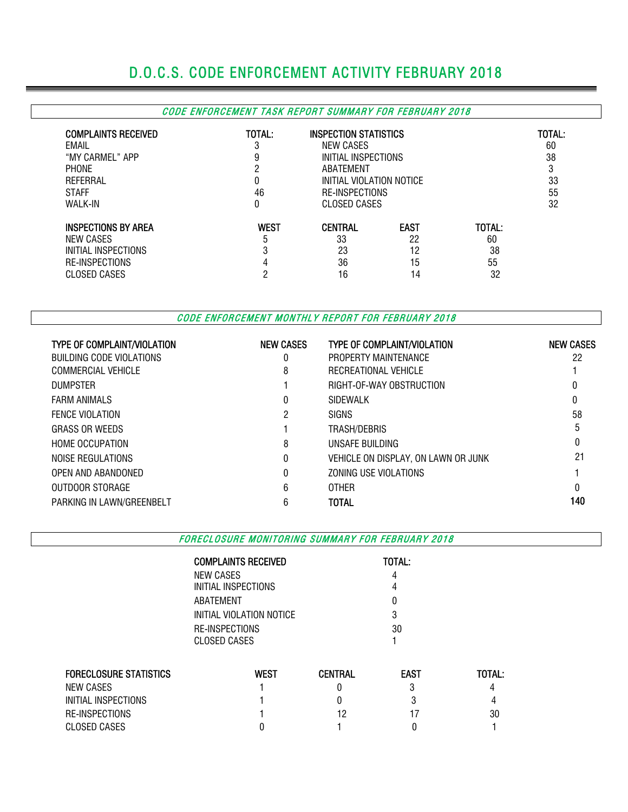# D.O.C.S. CODE ENFORCEMENT ACTIVITY FEBRUARY 2018

#### CODE ENFORCEMENT TASK REPORT SUMMARY FOR FEBRUARY 2018

| <b>COMPLAINTS RECEIVED</b><br>EMAIL<br>"MY CARMEL" APP<br><b>PHONE</b><br>REFERRAL<br><b>STAFF</b><br>WALK-IN | TOTAL:<br>3<br>9<br>ŋ<br>0<br>46<br>0 | <b>INSPECTION STATISTICS</b><br>NEW CASES<br>INITIAL INSPECTIONS<br>ABATEMENT<br>INITIAL VIOLATION NOTICE<br>RE-INSPECTIONS<br>CLOSED CASES |                                     |                                | TOTAL:<br>60<br>38<br>Ű<br>33<br>55<br>32 |
|---------------------------------------------------------------------------------------------------------------|---------------------------------------|---------------------------------------------------------------------------------------------------------------------------------------------|-------------------------------------|--------------------------------|-------------------------------------------|
| <b>INSPECTIONS BY AREA</b><br>NEW CASES<br>INITIAL INSPECTIONS<br><b>RE-INSPECTIONS</b><br>CLOSED CASES       | <b>WEST</b><br>5<br>3                 | <b>CENTRAL</b><br>33<br>23<br>36<br>16                                                                                                      | <b>EAST</b><br>22<br>12<br>15<br>14 | TOTAL:<br>60<br>38<br>55<br>32 |                                           |

CODE ENFORCEMENT MONTHLY REPORT FOR FEBRUARY 2018

| <b>TYPE OF COMPLAINT/VIOLATION</b> | <b>NEW CASES</b> | <b>TYPE OF COMPLAINT/VIOLATION</b>  | <b>NEW CASES</b> |
|------------------------------------|------------------|-------------------------------------|------------------|
| BUILDING CODE VIOLATIONS           | 0                | PROPERTY MAINTENANCE                | 22               |
| COMMERCIAL VEHICLE                 | 8                | RECREATIONAL VEHICLE                |                  |
| <b>DUMPSTER</b>                    |                  | RIGHT-OF-WAY OBSTRUCTION            |                  |
| <b>FARM ANIMALS</b>                | 0                | <b>SIDEWALK</b>                     | 0                |
| <b>FENCE VIOLATION</b>             | 2                | <b>SIGNS</b>                        | 58               |
| <b>GRASS OR WEEDS</b>              |                  | TRASH/DEBRIS                        | 5                |
| <b>HOME OCCUPATION</b>             | 8                | UNSAFE BUILDING                     |                  |
| NOISE REGULATIONS                  | 0                | VEHICLE ON DISPLAY, ON LAWN OR JUNK | 21               |
| OPEN AND ABANDONED                 | $\theta$         | ZONING USE VIOLATIONS               |                  |
| OUTDOOR STORAGE                    | 6                | <b>OTHER</b>                        | 0                |
| PARKING IN LAWN/GREENBELT          | 6                | <b>TOTAL</b>                        | 140              |

FORECLOSURE MONITORING SUMMARY FOR FEBRUARY 2018

|                               | <b>COMPLAINTS RECEIVED</b>            | TOTAL:         |             |        |  |  |  |  |  |  |
|-------------------------------|---------------------------------------|----------------|-------------|--------|--|--|--|--|--|--|
|                               | NEW CASES                             |                |             |        |  |  |  |  |  |  |
|                               | INITIAL INSPECTIONS                   |                |             |        |  |  |  |  |  |  |
|                               | ABATEMENT                             |                |             |        |  |  |  |  |  |  |
|                               | INITIAL VIOLATION NOTICE              |                | 3           |        |  |  |  |  |  |  |
|                               | RE-INSPECTIONS<br><b>CLOSED CASES</b> |                | 30          |        |  |  |  |  |  |  |
| <b>FORECLOSURE STATISTICS</b> | <b>WEST</b>                           | <b>CENTRAL</b> | <b>EAST</b> | TOTAL: |  |  |  |  |  |  |
| <b>NEW CASES</b>              |                                       |                | 3           |        |  |  |  |  |  |  |
| INITIAL INSPECTIONS           |                                       | 0              | 3           | 4      |  |  |  |  |  |  |
| RE-INSPECTIONS                |                                       | 12             |             | 30     |  |  |  |  |  |  |
| <b>CLOSED CASES</b>           |                                       |                |             |        |  |  |  |  |  |  |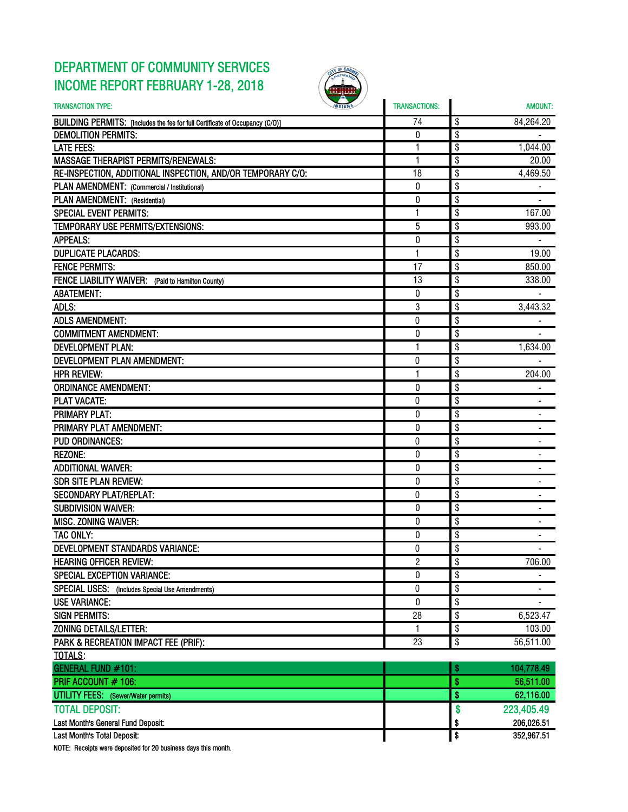### DEPARTMENT OF COMMUNITY SERVICES INCOME REPORT FEBRUARY 1-28, 2018



| <b>TRANSACTION TYPE:</b>                                                     | <b>TRANSACTIONS:</b> |           | <b>AMOUNT:</b> |
|------------------------------------------------------------------------------|----------------------|-----------|----------------|
| BUILDING PERMITS: [Includes the fee for full Certificate of Occupancy (C/O)] | 74                   | \$        | 84,264.20      |
| <b>DEMOLITION PERMITS:</b>                                                   | 0                    | \$        |                |
| <b>LATE FEES:</b>                                                            | 1                    | \$        | 1,044.00       |
| <b>MASSAGE THERAPIST PERMITS/RENEWALS:</b>                                   | 1                    | \$        | 20.00          |
| RE-INSPECTION, ADDITIONAL INSPECTION, AND/OR TEMPORARY C/O:                  | 18                   | \$        | 4,469.50       |
| PLAN AMENDMENT: (Commercial / Institutional)                                 | $\boldsymbol{0}$     | \$        |                |
| PLAN AMENDMENT: (Residential)                                                | $\boldsymbol{0}$     | \$        |                |
| <b>SPECIAL EVENT PERMITS:</b>                                                | 1                    | \$        | 167.00         |
| TEMPORARY USE PERMITS/EXTENSIONS:                                            | 5                    | \$        | 993.00         |
| <b>APPEALS:</b>                                                              | $\bf{0}$             | \$        |                |
| <b>DUPLICATE PLACARDS:</b>                                                   | 1                    | \$        | 19.00          |
| <b>FENCE PERMITS:</b>                                                        | 17                   | \$        | 850.00         |
| FENCE LIABILITY WAIVER: (Paid to Hamilton County)                            | 13                   | \$        | 338.00         |
| <b>ABATEMENT:</b>                                                            | 0                    | \$        |                |
| ADLS:                                                                        | 3                    | \$        | 3,443.32       |
| <b>ADLS AMENDMENT:</b>                                                       | 0                    | \$        |                |
| <b>COMMITMENT AMENDMENT:</b>                                                 | $\boldsymbol{0}$     | \$        |                |
| <b>DEVELOPMENT PLAN:</b>                                                     | $\mathbf{1}$         | \$        | 1,634.00       |
| DEVELOPMENT PLAN AMENDMENT:                                                  | 0                    | \$        |                |
| <b>HPR REVIEW:</b>                                                           | 1                    | \$        | 204.00         |
| <b>ORDINANCE AMENDMENT:</b>                                                  | 0                    | \$        |                |
| <b>PLAT VACATE:</b>                                                          | 0                    | \$        |                |
| <b>PRIMARY PLAT:</b>                                                         | $\boldsymbol{0}$     | \$        |                |
| PRIMARY PLAT AMENDMENT:                                                      | 0                    | \$        |                |
| <b>PUD ORDINANCES:</b>                                                       | 0                    | \$        |                |
| <b>REZONE:</b>                                                               | 0                    | \$        | ٠              |
| <b>ADDITIONAL WAIVER:</b>                                                    | 0                    | \$        |                |
| <b>SDR SITE PLAN REVIEW:</b>                                                 | $\boldsymbol{0}$     | \$        |                |
| <b>SECONDARY PLAT/REPLAT:</b>                                                | 0                    | \$        |                |
| <b>SUBDIVISION WAIVER:</b>                                                   | $\boldsymbol{0}$     | \$        |                |
| <b>MISC. ZONING WAIVER:</b>                                                  | 0                    | \$        |                |
| TAC ONLY:                                                                    | 0                    | \$        |                |
| <b>DEVELOPMENT STANDARDS VARIANCE:</b>                                       | 0                    | \$        |                |
| <b>HEARING OFFICER REVIEW:</b>                                               | $\overline{c}$       | \$        | 706.00         |
| <b>SPECIAL EXCEPTION VARIANCE:</b>                                           | $\bf{0}$             | \$        |                |
| SPECIAL USES: (Includes Special Use Amendments)                              | $\pmb{0}$            | \$        |                |
| <b>USE VARIANCE:</b>                                                         | 0                    | \$        |                |
| <b>SIGN PERMITS:</b>                                                         | 28                   | \$        | 6,523.47       |
| <b>ZONING DETAILS/LETTER:</b>                                                | 1                    | \$        | 103.00         |
| PARK & RECREATION IMPACT FEE (PRIF):                                         | 23                   | \$        | 56,511.00      |
| <b>TOTALS:</b>                                                               |                      |           |                |
| GENERAL FUND #101:                                                           |                      | \$        | 104,778.49     |
| PRIF ACCOUNT # 106:                                                          |                      | \$        | 56,511.00      |
| <b>UTILITY FEES:</b> (Sewer/Water permits)                                   |                      | $\bullet$ | 62,116.00      |
| <b>TOTAL DEPOSIT:</b>                                                        |                      | \$        | 223,405.49     |
| Last Month's General Fund Deposit:                                           |                      | \$        | 206,026.51     |
| Last Month's Total Deposit:                                                  |                      | \$        | 352,967.51     |

NOTE: Receipts were deposited for 20 business days this month.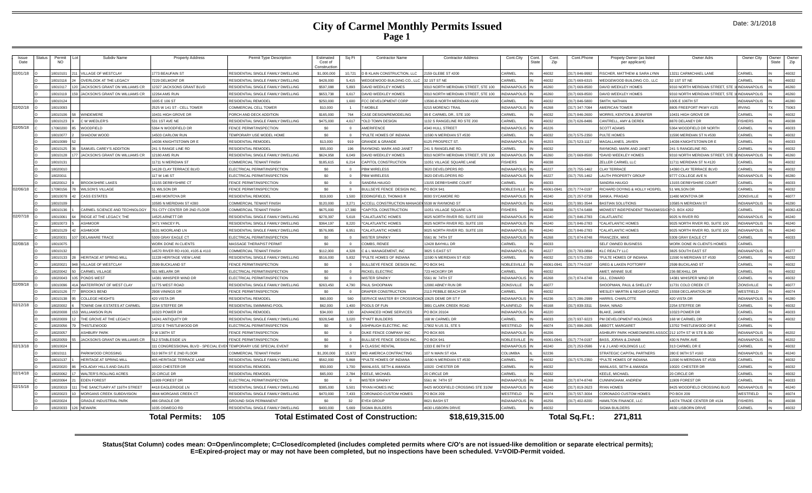### **City of Carmel Monthly Permits Issued Page 1**

|  |  | Date: 3/1/2018 |  |
|--|--|----------------|--|
|--|--|----------------|--|

| <b>Issue</b><br>Date | Status | Permit<br><b>NO</b> | Subdiv Name                    | <b>Property Address</b>               | Permit Type Description            | Estimated<br>Cost of<br>Construction | Sq Ft            | <b>Contractor Name</b>                       | <b>Contractor Address</b>          | Cont.City           | Cont<br>State | Cont.<br>Zip | Cont.Phone     | Propety Owner (as listed<br>per applicant)           | Owner Adrs                      | Owner City          | Owner<br><b>State</b> | Owner<br>Zip |
|----------------------|--------|---------------------|--------------------------------|---------------------------------------|------------------------------------|--------------------------------------|------------------|----------------------------------------------|------------------------------------|---------------------|---------------|--------------|----------------|------------------------------------------------------|---------------------------------|---------------------|-----------------------|--------------|
| 02/01/18             |        | 801010              | VILLAGE OF WESTCLAY            | 1773 BEAUFAIN ST                      | RESIDENTIAL SINGLE FAMILY DWELLING | \$1,000,000                          | 10.721           | <b>D B KLAIN CONSTRUCTION, LLC</b>           | 159 GLEBE ST #200                  | CARMEI              |               | 46032        | 317) 846-9992  | SCHER, MATTHEW & SARA LYNN                           | 13211 CARMICHAEL LANE           | CARMEI              |                       | 46032        |
|                      |        | 8010116             | OVERLOOK AT THE LEGACY         | 7229 DELMONT DR                       | RESIDENTIAL SINGLE FAMILY DWELLING | \$428,000                            | 5.415            | VEDGEWOOD BUILDING CO., LLC                  | 1ST ST NE                          | ARMEL               |               | 46032        | 317) 669-6315  | VEDGEWOOD BUILDING CO., LLC                          | 32 1ST ST NE                    | CARMEL              |                       | 46032        |
|                      |        | 18010117            | JACKSON'S GRANT ON WILLIAMS CR | 12327 JACKSONS GRANT BLVD             | RESIDENTIAL SINGLE FAMILY DWELLING | \$597,088                            | 5,893            | DAVID WEEKLEY HOMES                          | 310 NORTH MERIDIAN STREET, STE 100 | <b>INDIANAPOLIS</b> |               | 46260        | 317) 669-8500  | AVID WEEKLEY HOMES                                   | 9310 NORTH MERIDIAN STREET, STE | <b>INDIANAPOLIS</b> |                       | 46260        |
|                      |        | 8010119             | JACKSON'S GRANT ON WILLIAMS CR | 2264 AMS RUN                          | RESIDENTIAL SINGLE FAMILY DWELLING | \$653,738                            | 6617             | <b>DAVID WEEKLEY HOMES</b>                   | 310 NORTH MERIDIAN STREET, STE 100 | NDIANAPOLIS         |               | 46260        | 317) 669-8500  | AVID WEEKLEY HOMES                                   | 310 NORTH MERIDIAN STREET, STE  | INDIANAPOLIS        |                       | 46260        |
|                      |        | 8010124             |                                | 005 E 106 ST                          | RESIDENTIAL REMODEL                | \$250,000                            | 000.1            | CC DEVELOPMENT CORP                          | 3590-B NORTH MERIDIAN #100         | ARMEI               |               | 16032        | 317) 846-5800  | MITH. NATHAN                                         | 1005 E 106TH ST                 | INDIANAPOLIS        |                       | 46280        |
| 02/02/18             |        | 8010093             |                                | 2525 W 141 ST - CELL TOWER            | COMMERCIAL CELL TOWER              | \$10,000                             |                  | <b>T-MOBILE</b>                              | <b>215 MORENCI TRAIL</b>           | INDIANAPOLIS        |               | 46268        | (317) 347-7084 | MERICAN TOWER                                        | 8805 FREEPORT PKWY #135         | <b>IRVING</b>       |                       | 75063        |
|                      |        | 8010106             | <b>WINDEMERE</b>               | 10431 HIGH GROVE DR                   | PORCH AND DECK ADDITION            | \$165,000                            | 764              | CASE DESIGN/REMODELING                       | 9 E CARMEL DR., STE 100            | <b>ARMEL</b>        |               | 46032        | 317) 846-2600  | <b>IORRIS, KENTON &amp; JENNIFER</b>                 | 10431 HIGH GROVE DR             | CARMEL              |                       | 46032        |
|                      |        | 8010123             | C W WIFDI FR'S                 | 531 1ST AVE NE                        | RESIDENTIAL SINGLE FAMILY DWELLING | \$475,000                            | 4617             | *OLD TOWN DESIGN                             | 132 S RANGELINE RD STE 200         | ARMEI               |               | 46032        | 317) 626-8486  | ANTRELL, AMY & DEREK                                 | 8870 DELANEY DR                 | <b>ISHERS</b>       |                       | 46038        |
| 02/05/18             |        | 706020              | <b>WOODFIELD</b>               | 5364 N WOODFIELD DR                   | FENCE PERMIT/INSPECTION            | \$0                                  |                  | AMERIFENCE                                   | 340 HULL STREET                    | <b>INDIANAPOL</b>   |               | 46226        |                | <b>COTT ADAMS</b>                                    | 5364 WOODFIELD DR NORTH         | CARMEI              |                       | 46033        |
|                      |        | 8010077             | SHADOW WOOD                    | 14503 CARLOW RUN                      | TEMPORARY USE MODEL HOME           | S <sub>0</sub>                       | $\Omega$         | *PULTE HOMES OF INDIANA                      | 1590 N MERIDIAN ST #530            | CARMEL              |               | 46032        | 317) 575-2350  | ULTE HOMES                                           | 11590 MERIDIAN ST N #530        | CARMEL              |                       | 46032        |
|                      |        | 8010099             |                                | 4036 KNIGHTSTOWN DR E                 | RESIDENTIAL REMODEL                | \$13,000                             | 919              | <b>GRANDE &amp; GRANDE</b>                   | 125 PROSPECT ST.                   | <b>INDIANAPOLIS</b> |               | 46203        | 317) 523-1117  | <b>IAGALLANES, JAVIEN</b>                            | 14036 KNIGHTSTOWN DR E          | CARMEL              |                       | 46033        |
|                      |        | 8010125             | SAMUEL CAREY'S ADDITION        | 241 S RANGE LINE RD                   | RESIDENTIAL REMODEL                | \$55,000                             | 196              | RAYMOND, MARK AND JANET                      | 41 S RANGELINE RD.                 | ARMEI               |               | 46032        |                | AYMOND, MARK AND JANET                               | 241 S RANGELINE RD              | <b>ARMEL</b>        |                       | 46032        |
|                      |        | 8010128             | ACKSON'S GRANT ON WILLIAMS CR  | 12180 AMS RUN                         | RESIDENTIAL SINGLE FAMILY DWELLING | \$624,958                            | 6.049            | <b>DAVID WEEKLEY HOMES</b>                   | 310 NORTH MERIDIAN STREET, STE 100 | <b>NDIANAPOLIS</b>  |               | 46260        | 317) 669-8500  | DAVID WEEKLEY HOMES                                  | 9310 NORTH MERIDIAN STREET, STE | <b>INDIANAPOLIS</b> |                       | 46260        |
|                      |        | 18010131            |                                | 11711 N MERIDIAN ST                   | COMMERCIAL TENANT FINISH           | \$185,615                            | 6.214            | CAPITOL CONSTRUCTION                         | 1051 VILLAGE SOUARE LANE           | <b>ISHERS</b>       |               | 46038        |                | ELLER CARMEL LLC                                     | 11711 MERIDIAN ST N #120        | CARMEL              |                       | 46032        |
|                      |        | 8020010             |                                | 14128 CLAY TERRACE BLVD               | ELECTRICAL PERMIT/INSPECTION       | sn                                   | $\sqrt{2}$       | PBM WIRELESS                                 | 620 DEVELOPERS RD                  | <b>INDIANAPOLIS</b> |               | 46227        | (317) 755-1462 | I AY TERRACE                                         | 14390 CLAY TERRACE BLVD         | CARMEL              |                       | 46032        |
|                      |        | 8020011             |                                | 117 W 146 ST                          | ELECTRICAL PERMIT/INSPECTION       | \$0                                  | $\Omega$         | <b>BM WIRELESS</b>                           | 620 DEVELOPERS RD                  | <b>INDIANAPOLIS</b> |               | 46227        | 317) 755-1462  | <b>NUTH PROPERTY GROUP</b>                           | 9777 COLLEGE AVE N              | <b>INDIANAPOLIS</b> |                       | 46280        |
|                      |        | 3020012             | <b>BROOKSHIRE LAKES</b>        | 13155 DERBYSHIRE CT                   | FENCE PERMIT/INSPECTION            | \$0                                  |                  | SANDRA HAUGO                                 | 3155 DERBYSHIRE COUR"              | <b>CARME</b>        |               | 46033        |                | ANDRA HAUGO                                          | 13155 DERBYSHIRE COURT          | CARMEL              |                       | 46033        |
| 02/06/18             |        | 7090156             | <b>WILSON'S VILLAGE</b>        | 51 WILSON DR                          | FENCE PERMIT/INSPECTION            | SO.                                  | $\Omega$         | BULLSEYE FENCE DESIGN INC.                   | O BOX 941                          | <b>NOBLESVILLE</b>  |               | 46061-0941   | (317) 774-0197 | <b>ICHARD DOYING &amp; HOLLY HOSPEL</b>              | 51 WILSON DR                    | CARMEL              |                       | 46032        |
|                      |        | 8010078             | <b>CASS ESTATES</b>            | 11480 MONTOYA DR                      | RESIDENTIAL REMODEL                | \$19,000                             | 1,500            | <b>EDDINGFIELD, THOMAS R</b>                 | 000 SYCAMORE RD                    | <b>INDIANAPOLIS</b> |               | 46240        | 317) 257-0738  | ANKA, PRASAD                                         | 1480 MONTOYA DR                 | ZIONSVILLE          |                       | 46077        |
|                      |        | 8010109             |                                | 0585 N MERIDIAN ST #280               | COMMERCIAL TENANT FINISH           | \$120,000                            | 3.271            | <b>ACCELL CONSTRUCTION MANAC</b>             | 5538 W RAYMOND ST                  | NDIANAPOLIS         |               | 46241        | 317) 991-3544  | ASTIAN SOLUTIONS                                     | 10585 N MERIDIAN ST             | INDIANAPOLIS        |                       | 46290        |
|                      |        | 801013              | CARMEL SCIENCE AND TECHNOLOGY  | 701 CITY CENTER DR 2ND FLOOR          | COMMERCIAL TENANT FINISH           | \$675,000                            | 17,380           | CAPITOL CONSTRUCTION                         | 1051 VILLAGE SQUARE LN             | <b>ISHERS</b>       |               | 46038        | 317) 574-5488  | IDWEST INDEPENDENT TRANSMISSIO P.O. BOX 4202         |                                 | CARMEL              |                       | 46082-4      |
| 02/07/18             |        | 8010061             | RIDGE AT THE LEGACY. THE       | 4525 ARNETT DR                        | RESIDENTIAL SINGLE FAMILY DWELLING | \$278,397                            | 5618             | <b>"CAI ATI ANTIC HOMES</b>                  | 025 NORTH RIVER RD, SUITE 100      | INDIANAPOLIS        |               | 46240        | 317) 846-2783  | ALATI ANTIC                                          | 9025 N RIVER RD                 | INDIANAPOLIS        |                       | 46240        |
|                      |        | 8010073             | <b>ASHMOOR</b>                 | 3471 YANCEY PL                        | RESIDENTIAL SINGLE FAMILY DWELLING | \$364,197                            | 8.220            | *CALATLANTIC HOMES                           | 025 NORTH RIVER RD, SUITE 100      | <b>INDIANAPOLIS</b> |               | 46240        | 317) 846-2783  | CALATLANTIC HOMES                                    | 9025 NORTH RIVER RD, SUITE 100  | <b>INDIANAPOLIS</b> |                       | 46240        |
|                      |        | 8010129             | <b>ASHMOOR</b>                 | 3531 MOORLAND LN                      | RESIDENTIAL SINGLE FAMILY DWELLING | \$576,995                            | 6.951            | <b>"CAI ATI ANTIC HOMES</b>                  | 025 NORTH RIVER RD, SUITE 100      | NDIANAPOLIS         |               | 46240        | 317) 846-2783  | CALATLANTIC HOMES                                    | 9025 NORTH RIVER RD, SUITE 100  | <b>INDIANAPOLIS</b> |                       | 46240        |
|                      |        | 802003              | <b>DELAWARE TRACE</b>          | 5309 GRAY EAGLE CT                    | ELECTRICAL PERMIT/INSPECTION       | \$0                                  | $\Omega$         | <b>MISTER SPARKY</b>                         | 5561 W. 74TH ST                    | <b>INDIANAPOLIS</b> |               | 46268        | 317) 874-8748  | RANCZEK, MIKE                                        | 5309 GRAY EAGLE CT              | CARMEL              |                       | 46033        |
| 02/08/18             |        | 8010075             |                                | WORK DONE IN CLIENTS                  | MASSAGE THERAPIST PERMIT           | S <sub>0</sub>                       | $\Omega$         | COMBS, RENEE                                 | 2428 BAYHILL DR                    | CARMEL              |               | 46033        |                | ELF OWNED BUSINESS                                   | WORK DONE IN CLIENTS HOMES      | CARMEL              |                       |              |
|                      |        | 8010132             |                                | 14570 RIVER RD #100, #105 & #110      | COMMERCIAL TENANT FINISH           | \$112,000                            | 4.328            | C & L MANAGEMENT. INC                        | <b>B25 S EAST ST</b>               | <b>INDIANAPOLIS</b> |               | 46227        | 317) 783-0894  | LC REALTY LLC                                        | <b>8825 SOUTH EAST ST</b>       | <b>INDIANAPOLIS</b> |                       | 46277        |
|                      |        | 8010133             | <b>HERITAGE AT SPRING MIL</b>  | 11228 HERITAGE VIEW LANE              | RESIDENTIAL SINGLE FAMILY DWELLING | \$516,000                            | 5.832            | *PULTE HOMES OF INDIANA                      | 1590 N MERIDIAN ST #530            | <b>ARMEL</b>        |               | 46032        | 317) 575-2350  | PULTE HOMES OF INDIANA                               | 11590 N MERIDIAN ST #530        | <b>CARMEL</b>       |                       | 46032        |
|                      |        | 8020021             | <b>VILLAGE OF WESTCLAY</b>     | 2599 BUCKLAND ST                      | FENCE PERMIT/INSPECTION            | \$0                                  |                  | BULLSEYE FENCE DESIGN INC                    | O BOX 941                          | <b>VOBLESVILLE</b>  |               | 16061-094    | 317) 774-0197  | <b>REG &amp; LAKEN POTTORFF</b>                      | 2599 BUCKLAND ST                | CARMEI              |                       | 46032        |
|                      |        | 8020042             | <b>CARMEL VILLAGE</b>          | 501 MELARK DR                         | ELECTRICAL PERMIT/INSPECTION       | \$0                                  | $\Omega$         | RICKEL ELECTRIC                              | 23 HICKORY DR                      | CARMEL              |               | 46032        |                | MET. WINNIE SUE                                      | 236 BEXHILL DR                  | CARMEL              |                       | 46032        |
|                      |        | 3020043             | PONDS WEST                     | 14381 WHISPER WIND DR                 | ELECTRICAL PERMIT/INSPECTION       | \$0                                  | $\Omega$         | <b>MISTER SPARKY</b>                         | 5561 W. 74TH ST                    | <b>INDIANAPOLIS</b> |               | 46268        | 317) 874-8748  | ILL, EDWARD                                          | 14381 WHISPER WIND DR           | <b>CARMEI</b>       |                       | 46032        |
| 02/09/18             |        | 8010096             | WATERFRONT OF WEST CLAY        | 11775 WEST ROAD                       | RESIDENTIAL SINGLE FAMILY DWELLING | \$263,450                            | 4,790            | PAUL SHOOPMAN                                | 2080 ARNEY RUN DR                  | <b>ZIONSVILLE</b>   |               | 46077        |                | HOOPMAN, PAUL & SHELLEY                              | 11731 COLD CREEK CT             | ZIONSVILLE          |                       | 46077        |
|                      |        | 801012              | <b>BROOKS BEND</b>             | 2908 VININGS DR                       | FENCE PERMIT/INSPECTION            | \$0                                  |                  | DRAPER CONSTRUCTION                          | 113 PEBBLE BEACH DF                | CARMEI              |               | 46032        |                | <b>VESLEY MARTIN &amp; NEGAR GARIZI</b>              | 15558 DECLARATION DR            | WESTFIELD           |                       | 46074        |
|                      |        | 3010138             | <b>COLLEGE HEIGHTS</b>         | 420 VISTA DR                          | RESIDENTIAL REMODEL                | \$60,000                             | 560              | <b>FRVICE MASTER BY CROSSRC</b>              | 0625 DEME DR ST F                  | INDIANAPOLIS        |               | 46236        | (317) 286-2999 | ARRIS, CHARLOTTE                                     | 420 VISTA DR                    | <b>INDIANAPOLIS</b> |                       | 46280        |
| 02/12/18             |        | 3020002             | TOWNE OAK ESTATES AT CARMEL    | 2254 STEFFEE DR                       | RESIDENTIAL SWIMMING POOL          | \$62,000                             | 1,400            | POOLS OF FUN                                 | <b>391 CLARK CREEK ROAD</b>        | PLAINFIELD          |               | 46168        | 317) 839-3311  | HAH, NINAD                                           | 2254 STEFFEE DR                 | CARMEL              |                       | 46032        |
|                      |        | 3020008             | WILLIAMSON RUN                 | 0323 POWER DR                         | RESIDENTIAL REMODEL                | \$34,000                             | 130 <sub>1</sub> | ADVANCED HOME SERVICES                       | O BOX 20104                        | INDIANAPOLIS        |               | 46220        |                | <b>IAKE JAMES</b>                                    | 10323 POWER DR                  | ARMFI               |                       | 46033        |
|                      |        | 802000              | THE GROVE AT THE LEGACY        | 14241 ANTIQUITY DR                    | RESIDENTIAL SINGLE FAMILY DWELLING | \$328,548                            | 3,020            | *PYATT BUILDERS                              | 68 W CARMEL DR                     | CARMEL              |               | 46033        | (317) 937-9223 | M DEVELOPMENT HOLDINGS                               | 168 W CARMEL DR                 | CARMEL              |                       | 46032        |
|                      |        | 8020056             | THISTI FWOOD                   | 13702 E THISTLEWOOD DR                | ELECTRICAL PERMIT/INSPECTION       | \$0                                  | $\sqrt{2}$       | ASHPAUGH ELECTRIC, INC                       | 7902 N US 31, STE 5                | WESTFIELD           |               | 46074        | 317) 896-2605  | BBOTT, MARGARET                                      | 13702 THISTLEWOOD DR E          | CARMEI              |                       |              |
|                      |        | 8020057             | <b>ASHBURY PARK</b>            | 0 W 136TH ST                          | FENCE PERMIT/INSPECTION            | \$0                                  | $\Omega$         | DUKE FENCE COMPANY INC                       | O BOX 805                          | <b>INDIANAPOLIS</b> |               | 46206        |                | SHBURY PARK HOMEOWNERS ASSOC 212 10TH ST W STE B-300 |                                 | <b>INDIANAPOLIS</b> |                       | 46202        |
|                      |        | 8020059             | JACKSON'S GRANT ON WILLIAMS CR | 512 STABLESIDE LN                     | <b>ENCE PERMIT/INSPECTION</b>      | \$0                                  | $\Omega$         | BULLSEYE FENCE DESIGN INC.                   | O BOX 941                          | NOBLESVILLE         |               | 46061-0941   | 317) 774-0197  | ASS, JORAN & ZAINAB                                  | 430 N PARK AVE                  | <b>INDIANAPOLIS</b> |                       | 46202        |
| 02/13/18             |        | 8010024             |                                | 111 CONGRESSIONAL BLVD - SPECIAL EVEI | TEMPORARY USE SPECIAL EVENT        | \$0                                  |                  | <b>CLASSIC RENTAL</b>                        | 333 E 86TH ST                      | <b>INDIANAPOLIS</b> |               | 46240        | 317) 253-0586  | & J LAND HOLDINGS LLC                                | 313 CARMEL DR I                 | CARMEI              |                       | 46032        |
|                      |        | 8010111             | PARKWOOD CROSSING              | 510 96TH ST E 2ND FLOOR               | COMMERCIAL TENANT FINISH           | \$1,200,000                          | 15,972           | MID AMERICA CONTRACTING                      | 07 N MAIN ST #3A                   | COLUMBIA            |               | 62236        |                | TRATEGIC CAPITAL PARTNERS                            | 280 E 96TH ST #160              | <b>INDIANAPOLIS</b> |                       | 46240        |
|                      |        | 8010137             | HERITAGE AT SPRING MILL        | 405 HERITAGE TERRACE LANE             | RESIDENTIAL SINGLE FAMILY DWELLING | \$562,000                            | 5.868            | *PULTE HOMES OF INDIANA                      | 1590 N MERIDIAN ST #530            | CARMEL              |               | 46032        | 317) 575-2350  | PULTE HOMES OF INDIANA                               | 11590 N MERIDIAN ST #530        | CARMEL              |                       | 46032        |
|                      |        | 8020020             | HOLADAY HILLS AND DALES        | 10020 CHESTER DR                      | RESIDENTIAL REMODEL                | \$50,000                             | 1.700            | WANI ASS. SFTH & AMANDA                      | 0020 CHESTER DR                    | CARMEL              |               | 46032        |                | VANLASS, SETH & AMANDA                               | 10020 CHESTER DR                | CARMEI              |                       | 46032        |
| 02/14/18             |        | 3020062             | WALTER'S ROLLING ACRES         | 20 CIRCLE DR                          | <b>RESIDENTIAL REMODEL</b>         | \$65,000                             | 2.784            | KEELE, MICHAEL                               | CIRCLE DR                          | ARMEI               |               | 16032        |                | EELE, MICHAEL                                        | 20 CIRCLE DR                    | <b>CARMEI</b>       |                       | 46032        |
|                      |        | 302006              | <b>FDEN FOREST</b>             | 11909 FOREST DR                       | FLECTRICAL PERMIT/INSPECTION       | sn.                                  | $\sqrt{2}$       | <b>MISTER SPARKY</b>                         | 5561 W. 74TH ST                    | INDIANAPOLI         |               | 46268        | 317) 874-8748  | UNNINGHAM, ANDREW                                    | 11909 FOREST DR                 | CARMEI              |                       | 46033        |
| 02/15/18             |        | 3020019             | THE SANCTUARY AT 116TH STREET  | 4418 EAGLERIDGE LN                    | RESIDENTIAL SINGLE FAMILY DWELLING | \$385,000                            | 5,501            | *RYAN HOMES INC                              | 3425 WOODFIELD CROSSING STE 310W   | <b>INDIANAPOLIS</b> |               | 46240        | 317) 819-2623  | YAN HOMES                                            | 8425 WOODFIELD CROSSING BLVD    | <b>INDIANAPOLIS</b> |                       | 46240        |
|                      |        | 8020023             | MORGANS CREEK SURDIVISION      | 4844 MORGANS CREEK CT                 | RESIDENTIAL SINGLE FAMILY DWELLING | \$470,000                            | 7.433            | CORONADO CUSTOM HOMES                        | PO BOX 209                         | <b>NESTFIELD</b>    |               | 46074        | 317) 557-3004  | ORONADO CUSTOM HOMES                                 | PO BOX 209                      | <b>NESTFIELD</b>    |                       | 46074        |
|                      |        | 302002              | <b>GRADLE INDUSTRIAL PARK</b>  | 486 GRADLE DR                         | <b>GROUND SIGN PERMANENT</b>       | \$0                                  | 32               | YE4 GROUP                                    | 621 BASH ST                        | INDIANAPOLI         |               | 46256        | 317) 402-8200  | AMILTON FINANCE, LLC                                 | 14074 TRADE CENTER DR #124      | <b>FISHERS</b>      |                       | 46038        |
|                      |        | 8020033             | 26 NEWARK                      | 1035 OSWEGO RD                        | RESIDENTIAL SINGLE FAMILY DWELLING | \$400,000                            | 888.5            | <b>SIGMA BUILDERS</b>                        | 4630 LISBORN DRIVE                 | CARMEL              |               | 46032        |                | <b>IGMA BUILDERS</b>                                 | 4630 LISBORN DRIVE              | CARMEL              |                       | 46032        |
|                      |        |                     |                                | -105<br><b>Total Permits:</b>         |                                    |                                      |                  | <b>Total Estimated Cost of Construction:</b> | \$18,619,315.00                    |                     |               |              | Total Sq.Ft.:  | 271.811                                              |                                 |                     |                       |              |

**Status(Stat Column) codes mean: O=Open/incomplete; C=Closed/completed (includes completed permits where C/O's are not issued-like demolition or separate electrical permits); E=Expired-project may or may not have been completed, but no inspections have been scheduled. V=VOID-Permit voided.**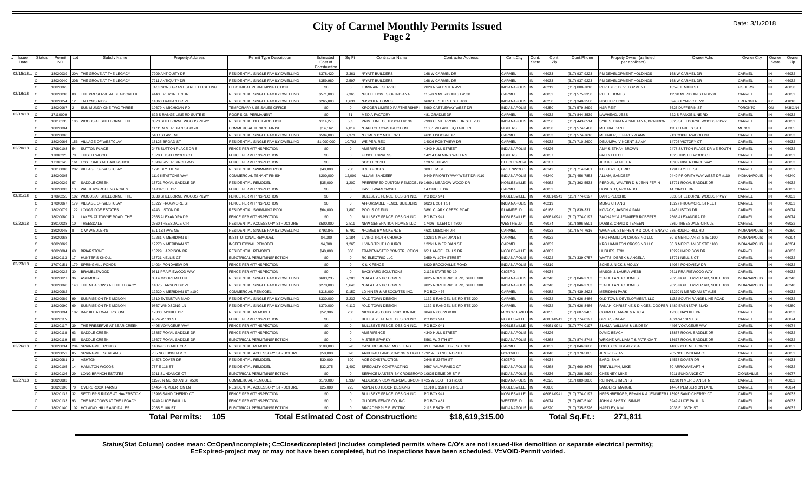### **City of Carmel Monthly Permits Issued Page 2**

| Date: 3/1/2018 |  |  |  |
|----------------|--|--|--|
|----------------|--|--|--|

| <b>Issue</b><br>Date | <b>Status</b> | Permit<br><b>NO</b> | Subdiv Name                                          | <b>Property Address</b>            | Permit Type Description                                 | Estimated<br>Cost of<br>Constructio | Sq Ft    | <b>Contractor Name</b>                                | <b>Contractor Address</b>             | Cont.City                        | Cont.<br><b>State</b> | Cont<br>Zip         | Cont.Phone                     | Propety Owner (as listed<br>per applicant)          | Owner Adrs                            | Owner City             | <b>Owner</b><br>State | Owner<br>Zip   |
|----------------------|---------------|---------------------|------------------------------------------------------|------------------------------------|---------------------------------------------------------|-------------------------------------|----------|-------------------------------------------------------|---------------------------------------|----------------------------------|-----------------------|---------------------|--------------------------------|-----------------------------------------------------|---------------------------------------|------------------------|-----------------------|----------------|
| 02/15/18             |               | 8020039             | THE GROVE AT THE LEGACY                              | 7209 ANTIQUITY DR                  | RESIDENTIAL SINGLE FAMILY DWELLING                      | \$378,420                           | 3,361    | *PYATT BUILDERS                                       | 68 W CARMEL DR                        | CARMEI                           |                       | cenan               | 317) 937-9223                  | PM DEVELOPMENT HOLDINGS                             | 168 W CARMEL DR                       | CARMEL                 |                       | 46032          |
|                      |               | 8020040             | THE GROVE AT THE LEGACY                              | 7211 ANTIQUITY DR                  | RESIDENTIAL SINGLE FAMILY DWELLING                      | \$359,980                           | 2.597    | PYATT BUILDERS                                        | 68 W CARMEL DR                        | <b>CARMEL</b>                    |                       | 46033               | 317) 937-9223                  | M DEVELOPMENT HOLDINGS                              | <b>168 W CARMEL DR</b>                | CARMEL                 |                       | 46032          |
|                      |               | 8020065             |                                                      | ACKSONS GRANT STREET LIGHTING      | FLECTRICAL PERMIT/INSPECTION                            | \$0                                 |          | UMINAIRE SERVICE                                      | <b>828 N WEBSTER AVE</b>              | INDIANAPOLI                      |                       | 46219               | 317) 808-7010                  | REPUBLIC DEVELOPMENT                                | 13578 E MAIN ST                       | <b>FISHERS</b>         |                       | 46038          |
| 02/16/18             |               | 8020038             | THE PRESERVE AT BEAR CREEK                           | <b>443 EVERGREEN TR</b>            | RESIDENTIAL SINGLE FAMILY DWELLING                      | \$571,000                           | 7.365    | PULTE HOMES OF INDIANA                                | 1590 N MERIDIAN ST #530               | <b>CARMEL</b>                    |                       | 46032               | 317) 575-2350                  | ULTE HOMES                                          | 11590 MERIDIAN ST N #530              | CARMEI                 |                       | 46032          |
|                      |               | 802005              | <b>TALLYN'S RIDGE</b>                                | 4363 TRAHAN DRIVE                  | RESIDENTIAL SINGLE FAMILY DWELLING                      | \$265,000                           | 6.631    | <b>FISCHER HOMES</b>                                  | 602 E. 75TH ST STE 400                | <b>INDIANAPOL</b>                |                       | 46250               | 17) 348-2500                   | <b>SCHER HOMES</b>                                  | 3940 OLYMPIC BLVD                     | ERLANGER               |                       | 41018          |
|                      |               | 8020067             | SUN MUNDY ONE TWO THREE                              | 0679 N MICHIGAN RD                 | FEMPORARY LISE SALES OFFICE                             | sn.                                 |          | (ROGER LIMITED PARTNERSHIP)                           | 960 CASTI FWAY WEST DR                | INDIANAPOLI                      |                       | 46250               | 17) 579-8699                   | <b>AR REIT</b>                                      | 3625 DUFFERIN ST                      | <b>FORONTO</b>         | <b>ON</b>             | <b>M3K1N4</b>  |
| 02/19/18             |               | 7110009             |                                                      | <b>22 S RANGE LINE RD SUITE F</b>  | <b>ROOF SIGN PERMANENT</b>                              | \$0                                 | 31       | <b>MEDIA FACTORY</b>                                  | <b>181 GRADLE DR</b>                  | <b>CARMEL</b>                    |                       | 46032               | 317) 844-3539                  | AWHEAD, JESS                                        | <b>322 S RANGE LINE RD</b>            | <b>ARMEL</b>           |                       | 46032          |
|                      |               | 8010135             | WOODS AT SHELBORNE. THE                              | 323 SHELBORNE WOODS PKWY           | RESIDENTIAL DECK ADDITION                               | \$114,276                           | 555      | RIMELINE OUTDOOR LIVING                               | 998 CENTERPOINT DR STE 750            | <b>INDIANAPOLIS</b>              |                       | 46256               | 317) 443-6514                  | YKES, BRIAN & SMETANA, BRANDON                      | 3323 SHELBORNE WOODS PKWY             | CARMEL                 |                       | 46032          |
|                      |               | 802000              |                                                      | 11711 N MERIDIAN ST #170           | COMMERCIAL TENANT FINISH                                | \$14,162                            | 2.019    | *CAPITOL CONSTRUCTION                                 | 1051 VILLAGE SOUARE LN                | <b>FISHERS</b>                   |                       | 46038               | 17) 574-5488                   | <b>ILITUAL RANK</b>                                 | 110 CHARLES ST. E                     | <b>MUNCIF</b>          |                       | 47305          |
|                      |               | 8020006             |                                                      | 540 1ST AVE NE                     | RESIDENTIAL SINGLE FAMILY DWELLING                      | \$594,000                           | 7.371    | <b>HOMES BY MCKENZIE</b>                              | <b>4631 LISBORN DR</b>                | CARMEL                           |                       | 26033               | 317) 574-7616                  | <b>IEUNIER, JEFFREY &amp; ANN</b>                   | 913 COPPERWOOD DR                     | CARMEL                 |                       | 46033          |
|                      |               | 8020066             | VILLAGE OF WESTCLAY                                  | 3125 BROAD ST                      | RESIDENTIAL SINGLE FAMILY DWELLING                      | \$1,000,000                         | 10,702   | WEIPER, REX                                           | 14026 POINTVIEW DR                    | CARMEL                           |                       | 46032               | 317) 710-2600                  | <b>DELUMPA, VINCENT &amp; AMY</b>                   | 14705 VICTORY CT                      | CARMEL                 |                       | 46032          |
| 02/20/18             |               | 7080108             | <b>SUTTON PLACE</b>                                  | 478 SUTTON PLACE DR S              | <b>ENCE PERMIT/INSPECTION</b>                           | S <sub>0</sub>                      | $\Omega$ | <b>MERIFENCE</b>                                      | <b>1340 HULL STREET</b>               | <b>INDIANAPOLI</b>               |                       | 46226               |                                | MY & ETHAN BROWN                                    | 2478 SUTTON PLACE DRIVE SOUTH         | CARMEI                 |                       | 46032          |
|                      |               | 708022              | THISTLEWOOD                                          | 320 THISTLEWOOD CT                 | <b>ENCE PERMIT/INSPECTION</b>                           | sn                                  |          | <b>ENCE EXPRESS</b>                                   | 4214 CALMING WATERS                   | <b>ISHERS</b>                    |                       | 46037               |                                | PATTY LEECH                                         | 1320 THISTLEWOOD CT                   | ARMF:                  |                       | 46032          |
|                      |               | 7100145             | <b>LOST OAKS AT HAVERSTICK</b>                       | 3909 RIVER BIRCH WAY               | FENCE PERMIT/INSPECTION                                 | \$0                                 |          | <b>COTT COYLE</b>                                     | 120 N 5TH AVE                         | <b>BEECH GROV</b>                |                       | 46107               |                                | ED & LISA FILLER                                    | 13909 RIVER BIRCH WAY                 | <b>CARMEI</b>          |                       | 46033          |
|                      |               | 18010088            | VILLAGE OF WESTCLAY                                  | 791 BI YTHE ST                     | RESIDENTIAL SWIMMING POOL                               | \$40,000                            | 780      | <b>B &amp; B POOLS</b>                                | <b>300 ELM ST</b>                     | GREENWOOD                        |                       | 46142               | 317) 714-3481                  | KOLODZIEJ, ERIC                                     | 1791 BI YTHE ST                       | <b>ARMEL</b>           |                       | 46032          |
|                      |               | 8020005             |                                                      | 119 KEYSTONE WAY                   | COMMERCIAL TENANT FINISH                                | \$200,000                           | 12.000   | ALLAM, SANDEEP                                        | <b>9449 PRIORITY WAY WEST DR #110</b> | <b>INDIANAPOLIS</b>              |                       | 46240               | 317) 456-7853                  | LLAM, SANDEEP                                       | 9449 PRIORITY WAY WEST DR #110        | <b>INDIANAPOLIS</b>    |                       | 46240          |
|                      |               | 802002              | SADDLE CREEK                                         | 3721 ROYAL SADDLE DR               | RESIDENTIAI REMODE                                      | \$35,000                            | 1.200    | PREFERRED CUSTOM REMODELIN                            | 16691 MEADOW WOOD DR                  | NOBI ESVILLE                     |                       | 46062               | 17) 362-5533                   | <b>PERDUN, WALTER D &amp; JENNIFER N</b>            | 13721 ROYAL SADDLE DR                 | <b>CARMEI</b>          |                       | 46032          |
|                      |               | enong               | WALTER'S ROLLING ACRES                               | 4 CIRCLE DR                        | FENCE PERMIT/INSPECTION                                 | \$0                                 | $\Omega$ | <b>KAY ELWARTOWSKI</b>                                | 4 CIRCLE DR                           | <b>CARMEL</b>                    |                       | 46032               |                                | <b>IONESTO, ARMANDO</b>                             | 4 CIRCLE DR                           | <b>ARMEL</b>           |                       | 46032          |
| 02/21/18             |               | 7060255             | WOODS AT SHELBORNE. THE                              | 338 SHELBORNE WOODS PKWY           | FENCE PERMIT/INSPECTION                                 | \$0                                 | $\Omega$ | BULLSEYE FENCE DESIGN INC                             | O BOX 941                             | NOBLESVILLE                      |                       | 46061-0941          | 317) 774-0197                  | AN SPECCHIO                                         | 3338 SHELBORNE WOODS PKWY             | CARMEL                 |                       | 46032          |
|                      |               | 7090067             | <b>VILLAGE OF WESTCLAY</b>                           | 3227 FROGMORE ST                   | <b>FRICE PERMIT/INSPECTION</b>                          | \$0                                 | $\Omega$ | <b>AFFORDABLE FENCE BUILDERS</b>                      | 023 E 26TH ST                         | <b>INCIANAPOLIS</b>              |                       | 46219               |                                | <b>JUNG CHIANG</b>                                  | 13227 FROGMORE STREET                 | CARMEL                 |                       | 46032          |
|                      |               | 802007              | LONGRIDGE ESTATES                                    | 243 LISTON DR                      | RESIDENTIAL SWIMMING POO                                | \$64,000                            | 1.800    | POOLS OF FUN                                          | 8891 CLARK CREEK ROAD                 | PLAINFIELD                       |                       | 16168               | 317) 839-3311                  | <b>COVACK JASON &amp; PAM</b>                       | 4243 LISTON DR                        | CARMEL                 |                       | 46074          |
|                      |               | 8020080             | LAKES AT TOWNE ROAD. THE                             | 2565 ALEXANDRA DR                  | FENCE PERMIT/INSPECTION                                 | \$0                                 |          | <b>BULLSEYE FENCE DESIGN INC</b>                      | O BOX 941                             | NOBLESVILLE                      |                       | 46061-0941          | 17) 774-0197                   | <b>ACHARY &amp; JENNIFER ROBERTS</b>                | 2565 ALEXANDRA DR                     | CARMEL                 |                       | 46074          |
| 02/22/18             |               | 8010038             | TREESDALE                                            | 2360 TREESDALE CIR                 | RESIDENTIAL ACCESSORY STRUCTURE                         | \$500,000                           | 2.511    | <b>NEW GENERATION HOMES LLC</b>                       | 7406 TILLER CT #800                   | WESTFIELD                        |                       | 46074               | 317) 896-5501                  | OBBS, CRAIG & TENEEN                                | 2360 TREESDALE CIRCLE                 | <b>ARMEL</b>           |                       | 46032          |
|                      |               | 8020045             | C W WIEDLER'S                                        | 521 1ST AVE NE                     | RESIDENTIAL SINGLE FAMILY DWELLING                      | \$793.845                           | 6.790    | HOMES BY MCKENZIE                                     | <b>4631 LISBORN DR</b>                | CARMEL                           |                       | 16033               | 317) 574-7616                  | AGNER, STEPHEN M & COURTENAY                        | 735 ROUND HILL RD                     | <b>INDIANAPOLIS</b>    |                       | 46260          |
|                      |               | 8020068             |                                                      | 2261 N MERIDIAN ST                 | INSTITUTIONAL REMODE                                    | \$4,000                             | 2.184    | <b>IVING TRUTH CHURCH</b>                             | 2261 N MERIDIAN ST                    | CARMEL                           |                       | 46032               |                                | KRG HAMILTON CROSSING LLC                           | 30 S MERIDIAN ST STE 1100             | <b>INDIANAPOLIS</b>    |                       | 46204          |
|                      |               | 8020069             |                                                      | 2273 N MERIDIAN ST                 | <b>INSTITUTIONAL REMODEL</b>                            | \$4,000                             | 1.265    | IVING TRUTH CHURCH                                    | 2261 N MERIDIAN ST                    | CARMEL                           |                       | 46032               |                                | <b>KRG HAMILTON CROSSING LLC</b>                    | 30 S MERIDIAN ST STE 1100             | <b>INDIANAPOLIS</b>    |                       | 46204          |
|                      |               | 8020084             | <b>BRIARSTONE</b>                                    | 3229 HARRISON DR                   | RESIDENTIAI REMODEL                                     | \$40,000                            | 850      | RADEMASTER CONSTRUCTION                               | 6511 ANGEL FALLS DR                   | NOBLESVILLE                      |                       | 46062               |                                | IUGHES, TOM                                         | 13229 HARRISON DR                     | CARMEL                 |                       | 46033          |
|                      |               | 8020113             | <b>HUNTER'S KNOLL</b>                                | 3721 NELLIS CT                     | ELECTRICAL PERMIT/INSPECTION                            | sn.                                 | $\Omega$ | <b>C ELECTRIC LLC</b>                                 | 659 W 10TH STREET                     | <b>INDIANAPOLIS</b>              |                       | 46222               | 317) 339-0757                  | VATTS, DEREK & ANGELA                               | 13721 NELLIS CT                       | CARMEI                 |                       | 46032          |
| 02/23/18             |               | 707015              | SPRINGMILL POND:                                     | 4034 PONDVIEW DR                   | <b>FRICE PERMIT/INSPECTION</b>                          | \$0                                 |          | & K FFNCF                                             | 920 BROOKVILLE ROAD                   | <b>INDIANAPOL</b>                |                       | 46219               |                                | CHEU, NICK & MOLLY                                  | 14034 PONDVIEW DF                     | CARMEI                 |                       | 46032          |
|                      |               | concos              | <b>BRAMBLEWOOD</b>                                   | 9611 PRAIRIEWOOD WAY               | FENCE PERMIT/INSPECTION                                 | \$0                                 |          | <b>BACKYARD SOLUTIONS</b>                             | 1128 STATE RD 19                      | CICERO                           |                       | 46034               |                                | <b>AASON &amp; LAURIA WEBB</b>                      | 9611 PRAIRIEWOOD WAY                  | <b>ARMEL</b>           |                       | 46032          |
|                      |               | 8020027             | <b>ASHMOOR</b>                                       | 3514 MOORLAND LN                   | RESIDENTIAL SINGLE FAMILY DWELLING                      | \$683,235                           | 7.283    | *CALATI ANTIC HOMES                                   | 025 NORTH RIVER RD, SUITE 100         | <b>INDIANAPOLIS</b>              |                       | 46240               | 317) 846-2783                  | CALATLANTIC HOMES                                   | 9025 NORTH RIVER RD, SUITE 100        | <b>INDIANAPOLIS</b>    |                       | 46240          |
|                      |               | 8020060             | THE MEADOWS AT THE LEGACY                            | 4075 LARSON DRIVE                  | RESIDENTIAL SINGLE FAMILY DWELLING                      | \$270,000                           | 5.640    | CALATLANTIC HOMES                                     | 025 NORTH RIVER RD, SUITE 100         | <b>INDIANAPOLIS</b>              |                       | 46240               | 317) 846-2783                  | <b>CALATLANTIC HOMES</b>                            | 9025 NORTH RIVER RD, SUITE 100        | <b>INDIANAPOLIS</b>    |                       | 46240          |
|                      |               | 802008              |                                                      | 2220 N MERIDIAN ST #100            | COMMERCIAL REMODE                                       | \$318,000                           | 9.150    | D HINER & ASSOCIATES INC.                             | <b>PO BOX 476</b>                     | CARMEL                           |                       | 46082               | 317) 439-2623                  | <b>IFRIDIAN PARK</b>                                | 12220 N MERIDIAN ST #155              | <b>ARMEL</b>           |                       | 46032          |
|                      |               | 8020089             | SUNRISE ON THE MONON                                 | 510 EVENSTAR BLVD                  | RESIDENTIAL SINGLE FAMILY DWELLING                      | \$330,000                           | 3.232    | OLD TOWN DESIGN                                       | 132 S RANGELINE RD STE 200            | CARMEL                           |                       | 46032               | 17) 626-8486                   | LD TOWN DEVELOPMENT. LLC                            | 1132 SOUTH RANGE LINE ROAD            | <b>ARMEL</b>           |                       | 46032          |
|                      |               | 8020090             | SUNRISE ON THE MONON                                 | 867 WINDSONG LN                    | RESIDENTIAL SINGLE FAMILY DWELLING                      | \$370,000                           | 4.110    | *OLD TOWN DESIGN                                      | 132 S RANGELINE RD STE 200            | CARMEL                           |                       | 46032               | 317) 626-8486                  | ANAH, CHRISTINE & DINGES, COOPER 1489 EVENSTAR BLVD |                                       | CARMEL                 |                       | 46280          |
|                      |               | 8020094             | <b>BAYHILL AT WATERSTONE</b>                         | 2333 BAYHILL DR                    | RESIDENTIAL REMODEL                                     | \$52,386                            | 260      | NICHOLAS CONSTRUCTION INC.                            | 049 N 600 W #100                      | <b>MCCORDSVIL</b>                |                       | 46055               | 317) 607-9465                  | ORRELL, MARK & ALICIA                               | 12333 BAYHILL DR                      | CARMEI                 |                       | 46033          |
|                      |               | 802011              |                                                      | 4524 W 131 ST                      | FENCE PERMIT/INSPECTION                                 | \$0                                 |          | BULLSEYE FENCE DESIGN INC                             | O BOX 941                             | NOBLESVILLE                      |                       | 46061-094           | 317) 774-0197                  | RIFR, FINLAY                                        | 4524 W 131ST ST                       | CARMEL                 |                       | 46074          |
|                      |               | 8020117             | THE PRESERVE AT BEAR CREEK                           | 4495 VOYAGEUR WAY                  | FENCE PERMIT/INSPECTION                                 | \$0                                 |          | <b>BULLSEYE FENCE DESIGN INC.</b>                     | O BOX 941                             | NOBLESVILLE                      |                       | 46061-0941          | 17) 774-0197                   | LAMA, WILLIAM & LINDSEY                             | 4495 VOYAGEUR WAY                     | CARMEI                 |                       | 46074          |
|                      |               | 8020118             | SADDLE CREEK                                         | 3857 ROYAL SADDLE DR               | FENCE PERMIT/INSPECTION                                 | \$0                                 |          | <b>MERIFENCE</b>                                      | <b>1340 HULL STREET</b>               | <b>INDIANAPOLIS</b>              |                       | 46226               |                                | <b>AVID BEACH</b>                                   | 3857 ROYAL SADDLE DR                  | <b>CARMEI</b>          |                       | 46032          |
|                      |               | 8020119             | <b>SADDLE CREEK</b>                                  | 3677 ROYAL SADDLE DR               | ELECTRICAL PERMIT/INSPECTION                            | \$0                                 | $\Omega$ | <b>MISTER SPARKY</b>                                  | 5561 W. 74TH ST                       | <b>INDIANAPOLIS</b>              |                       | 46268               | 317) 874-8748                  | RIGHT, WILLIAM T & PATRICIA T                       | 13677 ROYAL SADDLE DF                 | CARMEL                 |                       | 46032          |
| 02/26/18             |               | 802003              | <b>SPRINGMILL PONDS</b>                              | 4069 OLD MILL CIR                  | RESIDENTIAL REMODE                                      | \$108,000                           | 570      | CASE DESIGN/REMODELING                                | 99 E CARMEL DR., STE 100              | CARMEL                           |                       | 16032               | 17) 846-2600                   | OBO, COLIN & ALYSSA                                 | 14069 OLD MILL CIRCLE                 | CARMEI                 |                       | 46032          |
|                      |               | 8020052             | <b>SPRINGMILL STREAMS</b>                            | 705 NOTTINGHAM CT                  | RESIDENTIAL ACCESSORY STRUCTURE                         | \$50,000                            | 378      | RKENAU LANDSCAPING & LIGH                             | 792 WEST 900 NORTH                    | <b>FORTVILLE</b>                 |                       | 46040               | 317) 370-5085                  | <b>ENTZ, BRIAN</b>                                  | 705 NOTTINGHAM CT                     | CARMEL                 |                       | 46032          |
|                      |               | 8020081             | <b>ASHTON</b>                                        | 4578 DOVER DR                      | RESIDENTIAL REMODEL                                     | \$30,000                            | 600      | <b>ACE CONSTRUCTION</b>                               | 646 F 236TH ST                        | CICERO                           |                       | 46034               |                                | ARG SAM                                             | 14578 DOVER DR                        | CARMEL                 |                       | 46033          |
|                      |               | 8020105             | <b>HAMILTON WOODS</b>                                | 37 E 116 ST                        | RESIDENTIAL REMODEL                                     | \$32,275                            | 1.400    | SPECIALTY CONTRACTING                                 | <b>9567 VALPARAISO CT</b>             | <b>INDIANAPOLI</b>               |                       | 46268               | 317) 660-8676                  | <b>REVILLIAN, MIKE</b>                              | 30 ARROWAE APT H                      | CARMEL                 |                       | 46032          |
|                      |               | 802012              | LONG BRANCH ESTATES                                  | 3911 SUNDANCE CT                   | FLECTRICAL PERMIT/INSPECTION                            | sn.                                 |          | SERVICE MASTER BY CROSSRO                             | 10625 DEME DR ST F                    | <b>INDIANAPOLI</b>               |                       | 46236               | 317) 286-2999                  | <b>HESNEY MIKE</b>                                  | 3911 SUNDANCE CT                      | ZIONSVILLE             |                       | 46077          |
| 02/27/18             |               | 3020083             |                                                      | 1590 N MERIDIAN ST #530            | COMMERCIAL REMODE                                       | \$170,000                           | 8.937    | LDERSON COMMERCIAL GROU                               | 425 W SOUTH ST #100                   | <b>INDIANAPOLI</b>               |                       | 46225               | 17) 889-3800                   | EI INVESTMENTS                                      | 11590 N MERIDIAN ST N                 | CARMEL<br><b>ARMEL</b> |                       | 46032          |
|                      |               | 8020106             | <b>OVERBROOK FARMS</b>                               | 4454 PEMBERTON LN                  | RESIDENTIAL ACCESSORY STRUCTURE                         | \$25,000                            | 225      | ASPEN OUTDOOR DESIGNS                                 | 1010 E 156TH STREET                   | NOBLESVILLE                      |                       | 08064               |                                | ANDERS, MARGIE                                      | 14454 PEMBERTON LANE                  |                        |                       | 46074          |
|                      |               | 8020132             | SETTLER'S RIDGE AT HAVERSTICK                        | 3995 SAND CHERRY CT                | <b>ENCE PERMIT/INSPECTION</b>                           | sn.                                 | $\Omega$ | <b>BULLSEYE FENCE DESIGN INC</b>                      | O BOX 941                             | NOBLESVILLE                      |                       | 16061-0941<br>46074 | 317) 774-0197                  | ERSHBERGER, BRYAN K & JENNIFER                      | 13995 SAND CHERRY CT                  | CARMEI<br>CARMEL       |                       | 46033          |
|                      |               | 802013<br>8020140   | THE MEADOWS AT THE LEGACY<br>HOLADAY HILLS AND DALES | 949 ALICE PAUL LN<br>2035 F 106 ST | FENCE PERMIT/INSPECTION<br>ELECTRICAL PERMIT/INSPECTION | \$0<br>sn                           |          | <b>GLIDDEN FENCE CO. INC.</b><br>BROADRIPPLE ELECTRIC | PO BOX 481<br>2116 E 54TH ST          | WESTFIELD<br><b>INDIANAPOLIS</b> |                       | 46220               | 317) 867-5140<br>317) 735-5226 | OHN & SHERYL SIMMS<br><b>ARTI FY KIM</b>            | 6949 ALICE PAUL IN<br>2035 E 106TH ST | CARMEL                 |                       | 46033<br>46032 |
|                      |               |                     |                                                      |                                    |                                                         |                                     |          |                                                       |                                       |                                  |                       |                     |                                |                                                     |                                       |                        |                       |                |
|                      |               |                     |                                                      | 105<br><b>Total Permits:</b>       |                                                         |                                     |          | <b>Total Estimated Cost of Construction:</b>          | \$18,619,315.00                       |                                  |                       |                     | Total Sq.Ft.:                  | 271.811                                             |                                       |                        |                       |                |

**Status(Stat Column) codes mean: O=Open/incomplete; C=Closed/completed (includes completed permits where C/O's are not issued-like demolition or separate electrical permits); E=Expired-project may or may not have been completed, but no inspections have been scheduled. V=VOID-Permit voided.**